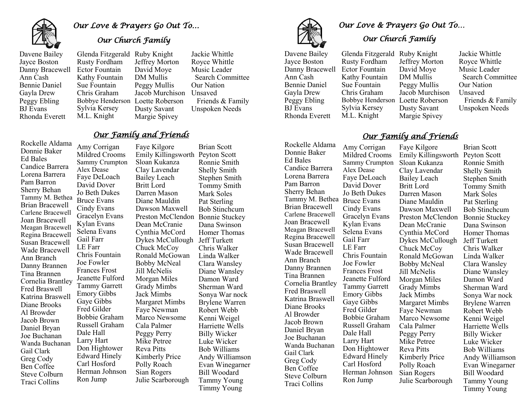

# *Our Love & Prayers Go Out To…*

#### *Our Church Family*

Davene Bailey Jayce Boston Danny Bracewell Ann Cash Bennie Daniel Gayla Drew Peggy Ebling BJ Evans Rhonda Everett

 Jeffrey Morton Jacob Murchison Unsaved Glenda Fitzgerald Ruby Knight Rusty Fordham Ector Fountain Kathy Fountain Sue Fountain Chris Graham Bobbye Henderson Loette Roberson Sylvia Kersey M.L. Knight David Moye DM Mullis Peggy Mullis Dusty Savant Margie Spivey

Jackie Whittle Royce Whittle Music Leader Search Committee Our Nation Friends & Family Unspoken Needs

#### *Our Family and Friends*

Rockelle Aldama Donnie Baker Ed Bales Candice Barrera Lorena Barrera Pam Barron Sherry Behan Tammy M. Bethea Brian Bracewell Carlene Bracewell Joan Bracewell Meagan Bracewell Regina Bracewell Susan Bracewell Wade Bracewell Ann Branch Danny Brannen Tina Brannen Cornelia Brantley Fred Braswell Katrina Braswell Diane Brooks Al Browder Jacob Brown Daniel Bryan Joe Buchanan Wanda Buchanan Gail Clark Greg Cody Ben Coffee Steve Colburn Traci Collins

Faye Kilgore Sloan Kukanza Clay Lavendar Bailey Leach Britt Lord Darren Mason Diane Mauldin Dawson Maxwell Dean McCranie Cynthia McCord Chuck McCoy Ronald McGowan Bobby McNeal Jill McNelis Morgan Miles Grady Mimbs Jack Mimbs Margaret Mimbs Faye Newman Marco Newsome Cala Palmer Peggy Perry Mike Petree Reva Pitts Kimberly Price Polly Roach Sian Rogers Julie Scarborough Amy Corrigan Mildred Crooms Sammy Crumpton Alex Dease Faye DeLoach David Dover Jo Beth Dukes Bruce Evans Cindy Evans Gracelyn Evans Kylan Evans Selena Evans Gail Farr LE Farr Chris Fountain Joe Fowler Frances Frost Jeanette Fulford Tammy Garrett Emory Gibbs Gaye Gibbs Fred Gilder Bobbie Graham Russell Graham Dale Hall Larry Hart Don Hightower Edward Hinely Carl Hosford Herman Johnson Ron Jump

Emily Killingsworth Peyton Scott Preston McClendon Bonnie Stuckey Dykes McCullough Jeff Turkett Brian Scott Ronnie Smith Shelly Smith Stephen Smith Tommy Smith Mark Soles Pat Sterling Bob Stinchcum Dana Swinson Homer Thomas Chris Walker Linda Walker Clara Wansley Diane Wansley Damon Ward Sherman Ward Sonya War nock Brylene Warren Robert Webb Kenni Weigel Harriette Wells Billy Wicker Luke Wicker Bob Williams Andy Williamson Evan Winegarner Bill Woodard Tammy Young Timmy Young

#### Danny Bracewell Ector Fountain Jayce Boston Ann Cash Bennie Daniel Gayla Drew Peggy Ebling BJ Evans Rhonda Everett

Rockelle Aldama Donnie Baker Ed Bales Candice Barrera Lorena Barrera Pam Barron Sherry Behan

Brian Bracewell Carlene Bracewell Joan Bracewell Meagan Bracewell Regina Bracewell Susan Bracewell Wade Bracewell Ann Branch Danny Brannen Tina Brannen Cornelia Brantley Fred Braswell Katrina Braswell Diane Brooks Al Browder Jacob Brown Daniel Bryan Joe Buchanan Wanda Buchanan Gail Clark Greg Cody Ben Coffee Steve Colburn Traci Collins

Rusty Fordham Kathy Fountain Sue Fountain Chris Graham Sylvia Kersey M.L. Knight

David Moye Glenda Fitzgerald Ruby Knight Bobbye Henderson Loette Roberson Jeffrey Morton DM Mullis Peggy Mullis Jacob Murchison Dusty Savant Margie Spivey

*Our Church Family*

Jackie Whittle Royce Whittle Music Leader Search Committee Our Nation Unsaved Friends & Family Unspoken Needs

### *Our Family and Friends*

Faye Kilgore Sammy Crumpton Sloan Kukanza Clay Lavendar Bailey Leach Britt Lord Darren Mason Diane Mauldin Dawson Maxwell Dean McCranie Cynthia McCord Dykes McCullough Chuck McCoy Ronald McGowan Bobby McNeal Jill McNelis Morgan Miles Grady Mimbs Jack Mimbs Margaret Mimbs Faye Newman Marco Newsome Cala Palmer Peggy Perry Mike Petree Reva Pitts Kimberly Price Polly Roach Sian Rogers Julie Scarborough Amy Corrigan Mildred Crooms Alex Dease Faye DeLoach David Dover Gaye Gibbs Fred Gilder Bobbie Graham Russell Graham Dale Hall Larry Hart Don Hightower Edward Hinely Carl Hosford Herman Johnson Ron Jump

Emily Killingsworth Peyton Scott Preston McClendon Bonnie Stuckey Brian Scott Ronnie Smith Shelly Smith Stephen Smith Tommy Smith Mark Soles Pat Sterling Bob Stinchcum Dana Swinson Homer Thomas Jeff Turkett Chris Walker Linda Walker Clara Wansley Diane Wansley Damon Ward Sherman Ward Sonya War nock Brylene Warren Robert Webb Kenni Weigel Harriette Wells Billy Wicker Luke Wicker Bob Williams Andy Williamson Evan Winegarner Bill Woodard Tammy Young Timmy Young

Tammy M. Bethea Bruce Evans Jo Beth Dukes Cindy Evans Gracelyn Evans Kylan Evans Selena Evans Gail Farr LE Farr Chris Fountain Joe Fowler Frances Frost Jeanette Fulford Tammy Garrett Emory Gibbs

*Our Love & Prayers Go Out To…*  Davene Bailey